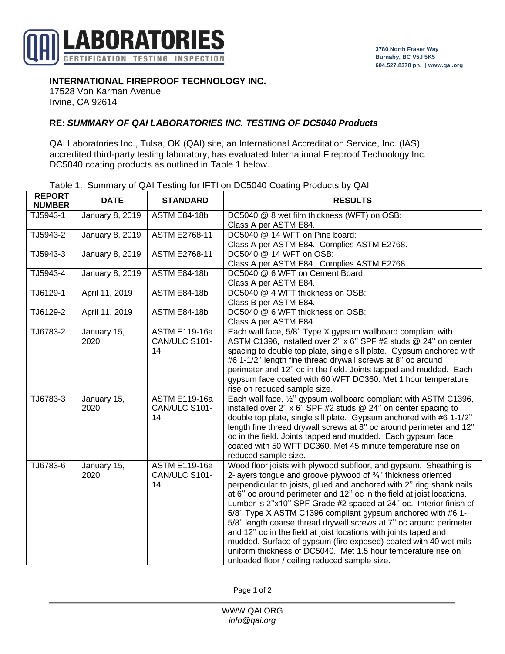

## **INTERNATIONAL FIREPROOF TECHNOLOGY INC.**

17528 Von Karman Avenue Irvine, CA 92614

## **RE:** *SUMMARY OF QAI LABORATORIES INC. TESTING OF DC5040 Products*

QAI Laboratories Inc., Tulsa, OK (QAI) site, an International Accreditation Service, Inc. (IAS) accredited third-party testing laboratory, has evaluated International Fireproof Technology Inc. DC5040 coating products as outlined in Table 1 below.

|  |  | Table 1. Summary of QAI Testing for IFTI on DC5040 Coating Products by QAI |  |
|--|--|----------------------------------------------------------------------------|--|
|  |  |                                                                            |  |

| <b>REPORT</b><br><b>NUMBER</b> | <b>DATE</b>         | <b>STANDARD</b>                             | <b>RESULTS</b>                                                                                                                                                                                                                                                                                                                                                                                                                                                                                                                                                                                                                                                                                                                                           |  |
|--------------------------------|---------------------|---------------------------------------------|----------------------------------------------------------------------------------------------------------------------------------------------------------------------------------------------------------------------------------------------------------------------------------------------------------------------------------------------------------------------------------------------------------------------------------------------------------------------------------------------------------------------------------------------------------------------------------------------------------------------------------------------------------------------------------------------------------------------------------------------------------|--|
| TJ5943-1                       | January 8, 2019     | <b>ASTM E84-18b</b>                         | DC5040 @ 8 wet film thickness (WFT) on OSB:<br>Class A per ASTM E84.                                                                                                                                                                                                                                                                                                                                                                                                                                                                                                                                                                                                                                                                                     |  |
| TJ5943-2                       | January 8, 2019     | <b>ASTM E2768-11</b>                        | DC5040 @ 14 WFT on Pine board:<br>Class A per ASTM E84. Complies ASTM E2768.                                                                                                                                                                                                                                                                                                                                                                                                                                                                                                                                                                                                                                                                             |  |
| TJ5943-3                       | January 8, 2019     | <b>ASTM E2768-11</b>                        | DC5040 @ 14 WFT on OSB:<br>Class A per ASTM E84. Complies ASTM E2768.                                                                                                                                                                                                                                                                                                                                                                                                                                                                                                                                                                                                                                                                                    |  |
| TJ5943-4                       | January 8, 2019     | <b>ASTM E84-18b</b>                         | DC5040 @ 6 WFT on Cement Board:<br>Class A per ASTM E84.                                                                                                                                                                                                                                                                                                                                                                                                                                                                                                                                                                                                                                                                                                 |  |
| TJ6129-1                       | April 11, 2019      | <b>ASTM E84-18b</b>                         | DC5040 @ 4 WFT thickness on OSB:<br>Class B per ASTM E84.                                                                                                                                                                                                                                                                                                                                                                                                                                                                                                                                                                                                                                                                                                |  |
| TJ6129-2                       | April 11, 2019      | <b>ASTM E84-18b</b>                         | DC5040 @ 6 WFT thickness on OSB:<br>Class A per ASTM E84.                                                                                                                                                                                                                                                                                                                                                                                                                                                                                                                                                                                                                                                                                                |  |
| TJ6783-2                       | January 15,<br>2020 | <b>ASTM E119-16a</b><br>CAN/ULC S101-<br>14 | Each wall face, 5/8" Type X gypsum wallboard compliant with<br>ASTM C1396, installed over 2" x 6" SPF #2 studs @ 24" on center<br>spacing to double top plate, single sill plate. Gypsum anchored with<br>#6 1-1/2" length fine thread drywall screws at 8" oc around<br>perimeter and 12" oc in the field. Joints tapped and mudded. Each<br>gypsum face coated with 60 WFT DC360. Met 1 hour temperature<br>rise on reduced sample size.                                                                                                                                                                                                                                                                                                               |  |
| TJ6783-3                       | January 15,<br>2020 | <b>ASTM E119-16a</b><br>CAN/ULC S101-<br>14 | Each wall face, 1/2" gypsum wallboard compliant with ASTM C1396,<br>installed over 2" x 6" SPF #2 studs $@$ 24" on center spacing to<br>double top plate, single sill plate. Gypsum anchored with #6 1-1/2"<br>length fine thread drywall screws at 8" oc around perimeter and 12"<br>oc in the field. Joints tapped and mudded. Each gypsum face<br>coated with 50 WFT DC360. Met 45 minute temperature rise on<br>reduced sample size.                                                                                                                                                                                                                                                                                                                 |  |
| TJ6783-6                       | January 15,<br>2020 | <b>ASTM E119-16a</b><br>CAN/ULC S101-<br>14 | Wood floor joists with plywood subfloor, and gypsum. Sheathing is<br>2-layers tongue and groove plywood of 3/4" thickness oriented<br>perpendicular to joists, glued and anchored with 2" ring shank nails<br>at 6" oc around perimeter and 12" oc in the field at joist locations.<br>Lumber is 2"x10" SPF Grade #2 spaced at 24" oc. Interior finish of<br>5/8" Type X ASTM C1396 compliant gypsum anchored with #6 1-<br>5/8" length coarse thread drywall screws at 7" oc around perimeter<br>and 12" oc in the field at joist locations with joints taped and<br>mudded. Surface of gypsum (fire exposed) coated with 40 wet mils<br>uniform thickness of DC5040. Met 1.5 hour temperature rise on<br>unloaded floor / ceiling reduced sample size. |  |